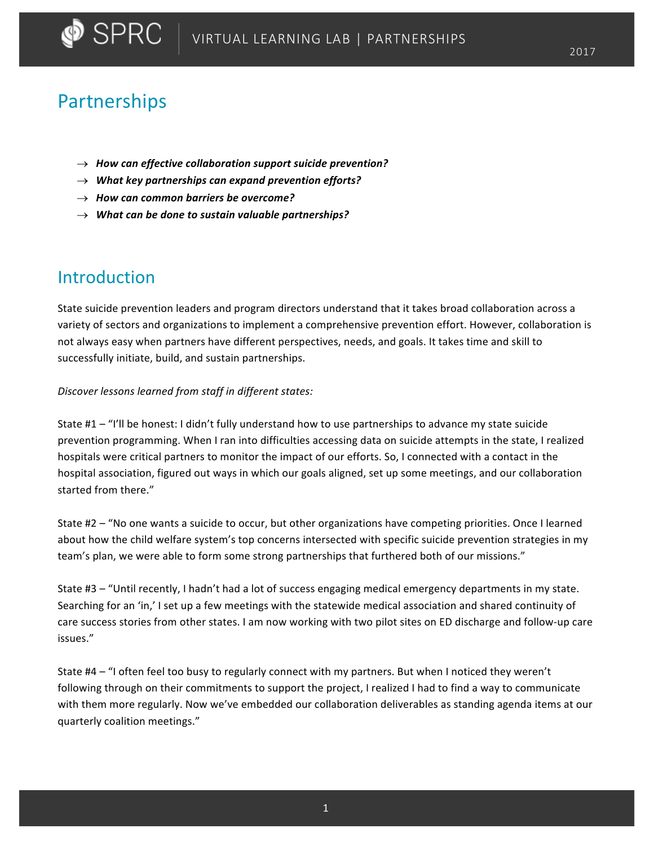# Partnerships

- $\rightarrow$  How can effective collaboration support suicide prevention?
- $\rightarrow$  What key partnerships can expand prevention efforts?
- $\rightarrow$  How can common barriers be overcome?
- $\rightarrow$  What can be done to sustain valuable partnerships?

# Introduction

State suicide prevention leaders and program directors understand that it takes broad collaboration across a variety of sectors and organizations to implement a comprehensive prevention effort. However, collaboration is not always easy when partners have different perspectives, needs, and goals. It takes time and skill to successfully initiate, build, and sustain partnerships.

### *Discover lessons learned from staff in different states:*

State  $#1 -$  "I'll be honest: I didn't fully understand how to use partnerships to advance my state suicide prevention programming. When I ran into difficulties accessing data on suicide attempts in the state, I realized hospitals were critical partners to monitor the impact of our efforts. So, I connected with a contact in the hospital association, figured out ways in which our goals aligned, set up some meetings, and our collaboration started from there."

State #2 – "No one wants a suicide to occur, but other organizations have competing priorities. Once I learned about how the child welfare system's top concerns intersected with specific suicide prevention strategies in my team's plan, we were able to form some strong partnerships that furthered both of our missions."

State  $#3 -$  "Until recently, I hadn't had a lot of success engaging medical emergency departments in my state. Searching for an 'in,' I set up a few meetings with the statewide medical association and shared continuity of care success stories from other states. I am now working with two pilot sites on ED discharge and follow-up care issues."

State #4 – "I often feel too busy to regularly connect with my partners. But when I noticed they weren't following through on their commitments to support the project, I realized I had to find a way to communicate with them more regularly. Now we've embedded our collaboration deliverables as standing agenda items at our quarterly coalition meetings."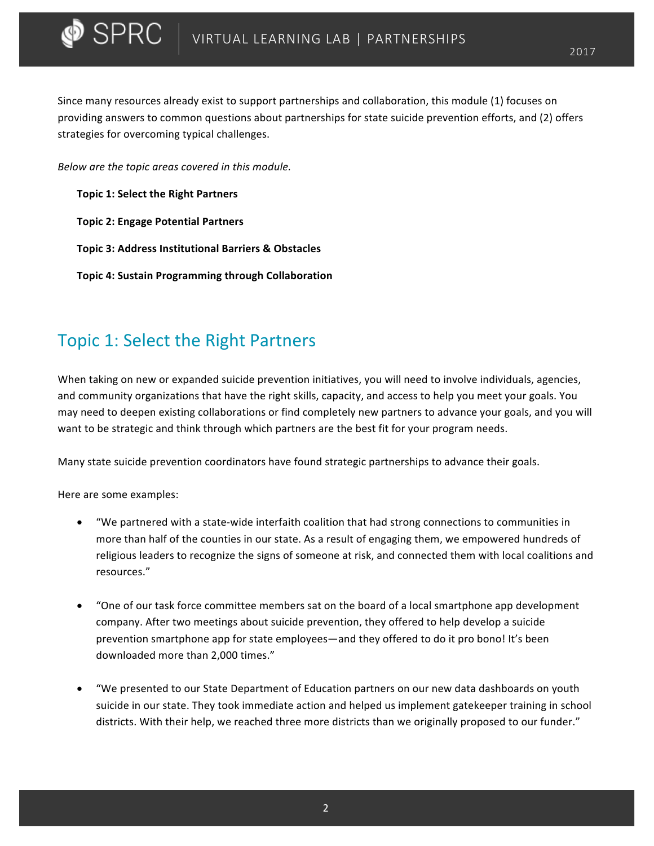Since many resources already exist to support partnerships and collaboration, this module (1) focuses on providing answers to common questions about partnerships for state suicide prevention efforts, and (2) offers strategies for overcoming typical challenges.

*Below are the topic areas covered in this module.* 

**Topic 1: Select the Right Partners** 

 $\blacktriangleright$  SPRC  $\blacktriangleright$ 

- **Topic 2: Engage Potential Partners**
- **Topic 3: Address Institutional Barriers & Obstacles**
- **Topic 4: Sustain Programming through Collaboration**

# Topic 1: Select the Right Partners

When taking on new or expanded suicide prevention initiatives, you will need to involve individuals, agencies, and community organizations that have the right skills, capacity, and access to help you meet your goals. You may need to deepen existing collaborations or find completely new partners to advance your goals, and you will want to be strategic and think through which partners are the best fit for your program needs.

Many state suicide prevention coordinators have found strategic partnerships to advance their goals.

Here are some examples:

- "We partnered with a state-wide interfaith coalition that had strong connections to communities in more than half of the counties in our state. As a result of engaging them, we empowered hundreds of religious leaders to recognize the signs of someone at risk, and connected them with local coalitions and resources."
- "One of our task force committee members sat on the board of a local smartphone app development company. After two meetings about suicide prevention, they offered to help develop a suicide prevention smartphone app for state employees—and they offered to do it pro bono! It's been downloaded more than 2,000 times."
- "We presented to our State Department of Education partners on our new data dashboards on youth suicide in our state. They took immediate action and helped us implement gatekeeper training in school districts. With their help, we reached three more districts than we originally proposed to our funder."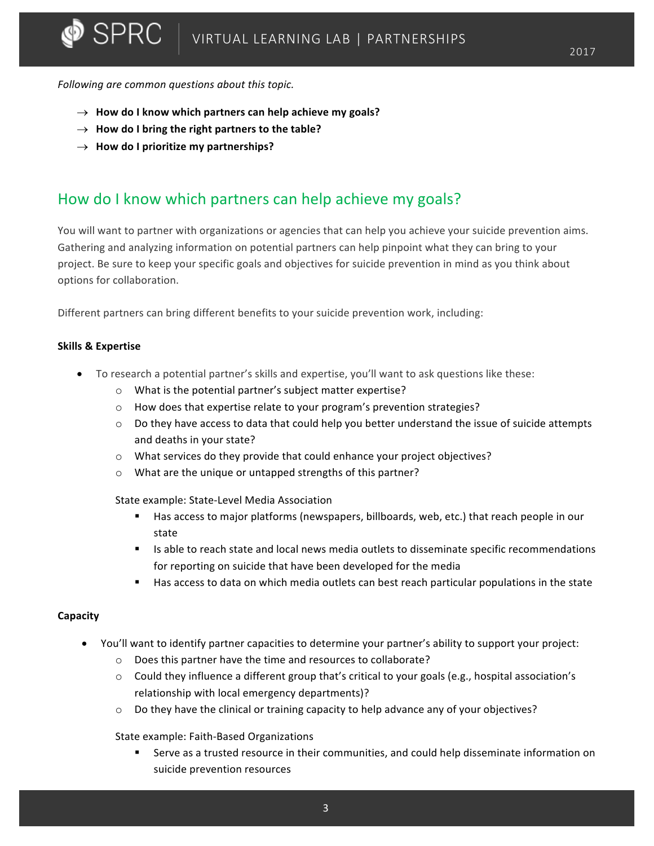*Following are common questions about this topic.*

- $\rightarrow$  How do I know which partners can help achieve my goals?
- $\rightarrow$  How do I bring the right partners to the table?
- $\rightarrow$  How do I prioritize my partnerships?

## How do I know which partners can help achieve my goals?

You will want to partner with organizations or agencies that can help you achieve your suicide prevention aims. Gathering and analyzing information on potential partners can help pinpoint what they can bring to your project. Be sure to keep your specific goals and objectives for suicide prevention in mind as you think about options for collaboration.

Different partners can bring different benefits to your suicide prevention work, including:

### **Skills & Expertise**

- To research a potential partner's skills and expertise, you'll want to ask questions like these:
	- $\circ$  What is the potential partner's subject matter expertise?
	- $\circ$  How does that expertise relate to your program's prevention strategies?
	- $\circ$  Do they have access to data that could help you better understand the issue of suicide attempts and deaths in your state?
	- $\circ$  What services do they provide that could enhance your project objectives?
	- $\circ$  What are the unique or untapped strengths of this partner?

State example: State-Level Media Association

- Has access to major platforms (newspapers, billboards, web, etc.) that reach people in our state
- Is able to reach state and local news media outlets to disseminate specific recommendations for reporting on suicide that have been developed for the media
- Has access to data on which media outlets can best reach particular populations in the state

### **Capacity**

- You'll want to identify partner capacities to determine your partner's ability to support your project:
	- $\circ$  Does this partner have the time and resources to collaborate?
	- $\circ$  Could they influence a different group that's critical to your goals (e.g., hospital association's relationship with local emergency departments)?
	- $\circ$  Do they have the clinical or training capacity to help advance any of your objectives?

State example: Faith-Based Organizations

Serve as a trusted resource in their communities, and could help disseminate information on suicide prevention resources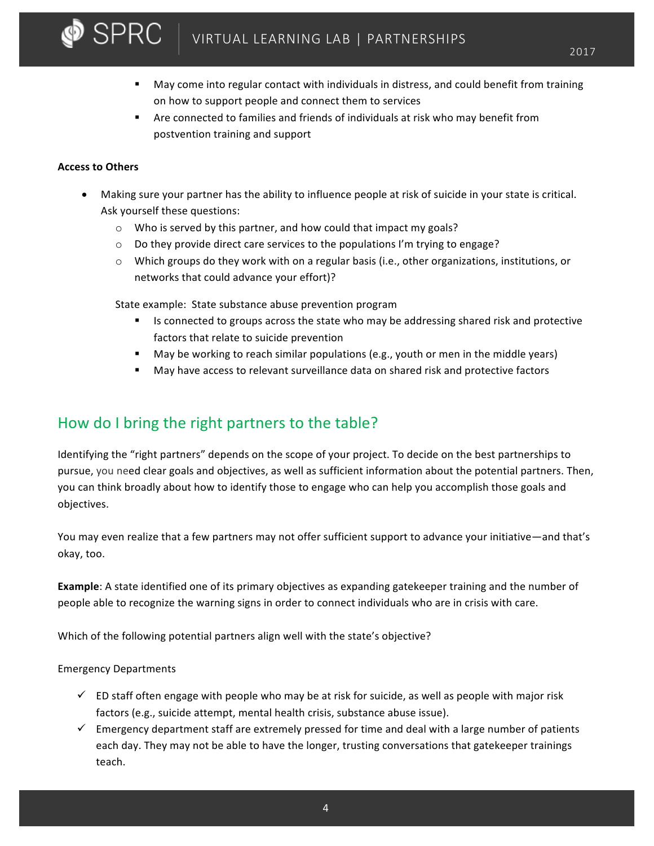# VIRTUAL LEARNING LAB | PARTNERSHIPS

- May come into regular contact with individuals in distress, and could benefit from training on how to support people and connect them to services
- Are connected to families and friends of individuals at risk who may benefit from postvention training and support

### **Access to Others**

 $\blacktriangleright$  SPRC

- Making sure your partner has the ability to influence people at risk of suicide in your state is critical. Ask yourself these questions:
	- $\circ$  Who is served by this partner, and how could that impact my goals?
	- $\circ$  Do they provide direct care services to the populations I'm trying to engage?
	- $\circ$  Which groups do they work with on a regular basis (i.e., other organizations, institutions, or networks that could advance your effort)?

State example: State substance abuse prevention program

- Is connected to groups across the state who may be addressing shared risk and protective factors that relate to suicide prevention
- **•** May be working to reach similar populations (e.g., youth or men in the middle years)
- **■** May have access to relevant surveillance data on shared risk and protective factors

## How do I bring the right partners to the table?

Identifying the "right partners" depends on the scope of your project. To decide on the best partnerships to pursue, you need clear goals and objectives, as well as sufficient information about the potential partners. Then, you can think broadly about how to identify those to engage who can help you accomplish those goals and objectives. 

You may even realize that a few partners may not offer sufficient support to advance your initiative—and that's okay, too.

**Example**: A state identified one of its primary objectives as expanding gatekeeper training and the number of people able to recognize the warning signs in order to connect individuals who are in crisis with care.

Which of the following potential partners align well with the state's objective?

### Emergency Departments

- $\checkmark$  ED staff often engage with people who may be at risk for suicide, as well as people with major risk factors (e.g., suicide attempt, mental health crisis, substance abuse issue).
- $\checkmark$  Emergency department staff are extremely pressed for time and deal with a large number of patients each day. They may not be able to have the longer, trusting conversations that gatekeeper trainings teach.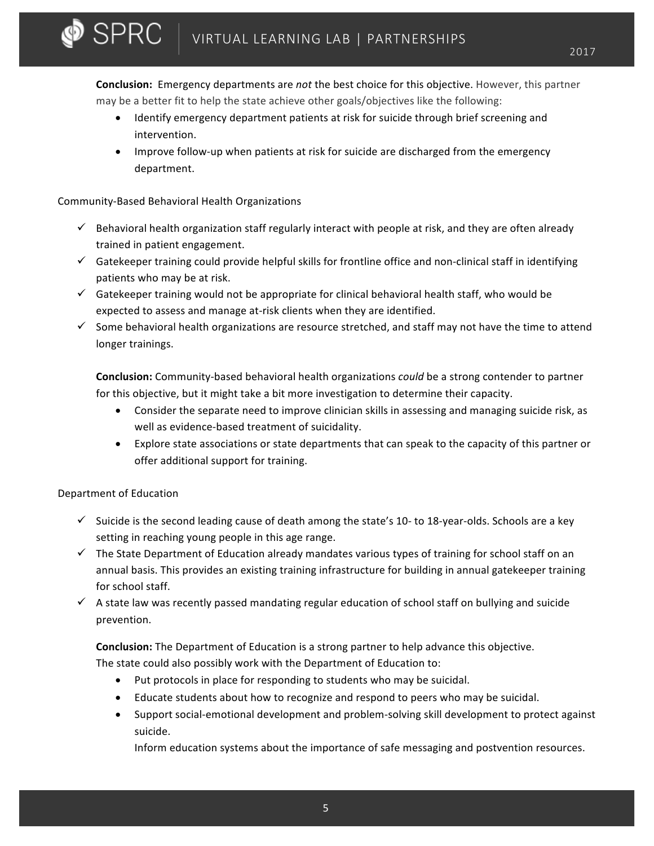**Conclusion:** Emergency departments are *not* the best choice for this objective. However, this partner may be a better fit to help the state achieve other goals/objectives like the following:

- Identify emergency department patients at risk for suicide through brief screening and intervention.
- Improve follow-up when patients at risk for suicide are discharged from the emergency department.

### Community-Based Behavioral Health Organizations

 $\bullet$  SPRC  $\perp$ 

- $\checkmark$  Behavioral health organization staff regularly interact with people at risk, and they are often already trained in patient engagement.
- $\checkmark$  Gatekeeper training could provide helpful skills for frontline office and non-clinical staff in identifying patients who may be at risk.
- $\checkmark$  Gatekeeper training would not be appropriate for clinical behavioral health staff, who would be expected to assess and manage at-risk clients when they are identified.
- $\checkmark$  Some behavioral health organizations are resource stretched, and staff may not have the time to attend longer trainings.

**Conclusion:** Community-based behavioral health organizations *could* be a strong contender to partner for this objective, but it might take a bit more investigation to determine their capacity.

- Consider the separate need to improve clinician skills in assessing and managing suicide risk, as well as evidence-based treatment of suicidality.
- Explore state associations or state departments that can speak to the capacity of this partner or offer additional support for training.

### Department of Education

- $\checkmark$  Suicide is the second leading cause of death among the state's 10- to 18-year-olds. Schools are a key setting in reaching young people in this age range.
- $\checkmark$  The State Department of Education already mandates various types of training for school staff on an annual basis. This provides an existing training infrastructure for building in annual gatekeeper training for school staff.
- $\checkmark$  A state law was recently passed mandating regular education of school staff on bullying and suicide prevention.

**Conclusion:** The Department of Education is a strong partner to help advance this objective.

The state could also possibly work with the Department of Education to:

- Put protocols in place for responding to students who may be suicidal.
- Educate students about how to recognize and respond to peers who may be suicidal.
- Support social-emotional development and problem-solving skill development to protect against suicide.

Inform education systems about the importance of safe messaging and postvention resources.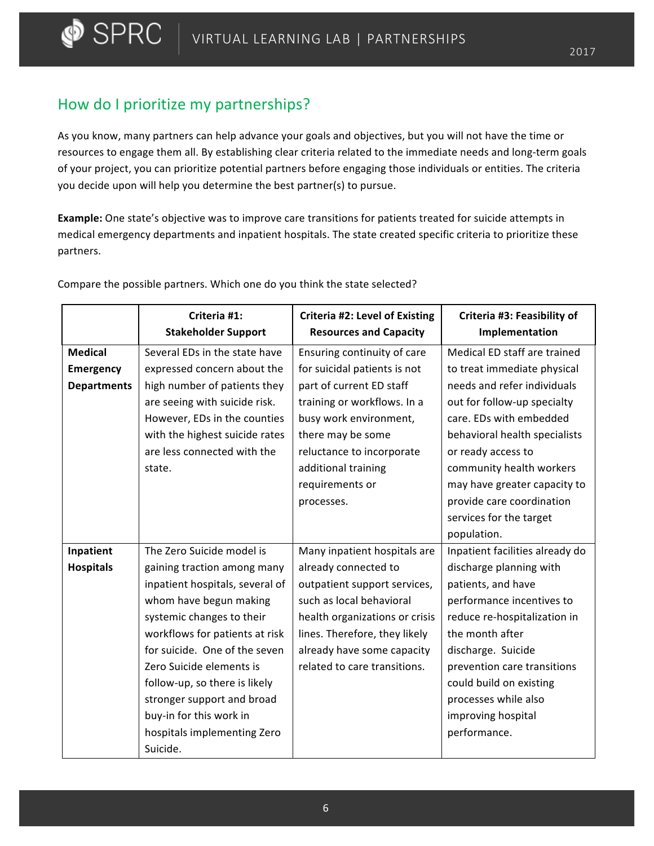## How do I prioritize my partnerships?

 $\bullet$  Sprc

As you know, many partners can help advance your goals and objectives, but you will not have the time or resources to engage them all. By establishing clear criteria related to the immediate needs and long-term goals of your project, you can prioritize potential partners before engaging those individuals or entities. The criteria you decide upon will help you determine the best partner(s) to pursue.

**Example:** One state's objective was to improve care transitions for patients treated for suicide attempts in medical emergency departments and inpatient hospitals. The state created specific criteria to prioritize these partners.

|                    | Criteria #1:<br><b>Stakeholder Support</b> | <b>Criteria #2: Level of Existing</b><br><b>Resources and Capacity</b> | Criteria #3: Feasibility of<br>Implementation |
|--------------------|--------------------------------------------|------------------------------------------------------------------------|-----------------------------------------------|
| <b>Medical</b>     | Several EDs in the state have              | Ensuring continuity of care                                            | Medical ED staff are trained                  |
| <b>Emergency</b>   | expressed concern about the                | for suicidal patients is not                                           | to treat immediate physical                   |
| <b>Departments</b> | high number of patients they               | part of current ED staff                                               | needs and refer individuals                   |
|                    | are seeing with suicide risk.              | training or workflows. In a                                            | out for follow-up specialty                   |
|                    | However, EDs in the counties               | busy work environment,                                                 | care. EDs with embedded                       |
|                    | with the highest suicide rates             | there may be some                                                      | behavioral health specialists                 |
|                    | are less connected with the                | reluctance to incorporate                                              | or ready access to                            |
|                    | state.                                     | additional training                                                    | community health workers                      |
|                    |                                            | requirements or                                                        | may have greater capacity to                  |
|                    |                                            | processes.                                                             | provide care coordination                     |
|                    |                                            |                                                                        | services for the target                       |
|                    |                                            |                                                                        | population.                                   |
| Inpatient          | The Zero Suicide model is                  | Many inpatient hospitals are                                           | Inpatient facilities already do               |
| <b>Hospitals</b>   | gaining traction among many                | already connected to                                                   | discharge planning with                       |
|                    | inpatient hospitals, several of            | outpatient support services,                                           | patients, and have                            |
|                    | whom have begun making                     | such as local behavioral                                               | performance incentives to                     |
|                    | systemic changes to their                  | health organizations or crisis                                         | reduce re-hospitalization in                  |
|                    | workflows for patients at risk             | lines. Therefore, they likely                                          | the month after                               |
|                    | for suicide. One of the seven              | already have some capacity                                             | discharge. Suicide                            |
|                    | Zero Suicide elements is                   | related to care transitions.                                           | prevention care transitions                   |
|                    | follow-up, so there is likely              |                                                                        | could build on existing                       |
|                    | stronger support and broad                 |                                                                        | processes while also                          |
|                    | buy-in for this work in                    |                                                                        | improving hospital                            |
|                    | hospitals implementing Zero                |                                                                        | performance.                                  |
|                    | Suicide.                                   |                                                                        |                                               |

Compare the possible partners. Which one do you think the state selected?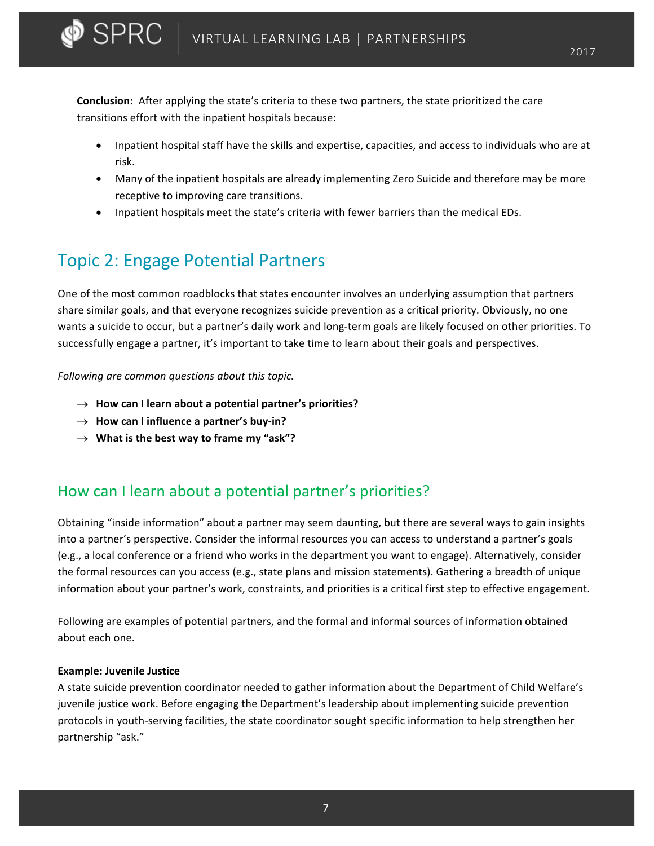**Conclusion:** After applying the state's criteria to these two partners, the state prioritized the care transitions effort with the inpatient hospitals because:

- Inpatient hospital staff have the skills and expertise, capacities, and access to individuals who are at risk.
- Many of the inpatient hospitals are already implementing Zero Suicide and therefore may be more receptive to improving care transitions.
- Inpatient hospitals meet the state's criteria with fewer barriers than the medical EDs.

# Topic 2: Engage Potential Partners

 $\blacktriangleright$  SPRC

One of the most common roadblocks that states encounter involves an underlying assumption that partners share similar goals, and that everyone recognizes suicide prevention as a critical priority. Obviously, no one wants a suicide to occur, but a partner's daily work and long-term goals are likely focused on other priorities. To successfully engage a partner, it's important to take time to learn about their goals and perspectives.

Following are common questions about this topic.

- $\rightarrow$  How can I learn about a potential partner's priorities?
- $\rightarrow$  How can I influence a partner's buy-in?
- $\rightarrow$  What is the best way to frame my "ask"?

## How can I learn about a potential partner's priorities?

Obtaining "inside information" about a partner may seem daunting, but there are several ways to gain insights into a partner's perspective. Consider the informal resources you can access to understand a partner's goals (e.g., a local conference or a friend who works in the department you want to engage). Alternatively, consider the formal resources can you access (e.g., state plans and mission statements). Gathering a breadth of unique information about your partner's work, constraints, and priorities is a critical first step to effective engagement.

Following are examples of potential partners, and the formal and informal sources of information obtained about each one.

### **Example: Juvenile Justice**

A state suicide prevention coordinator needed to gather information about the Department of Child Welfare's juvenile justice work. Before engaging the Department's leadership about implementing suicide prevention protocols in youth-serving facilities, the state coordinator sought specific information to help strengthen her partnership "ask."

7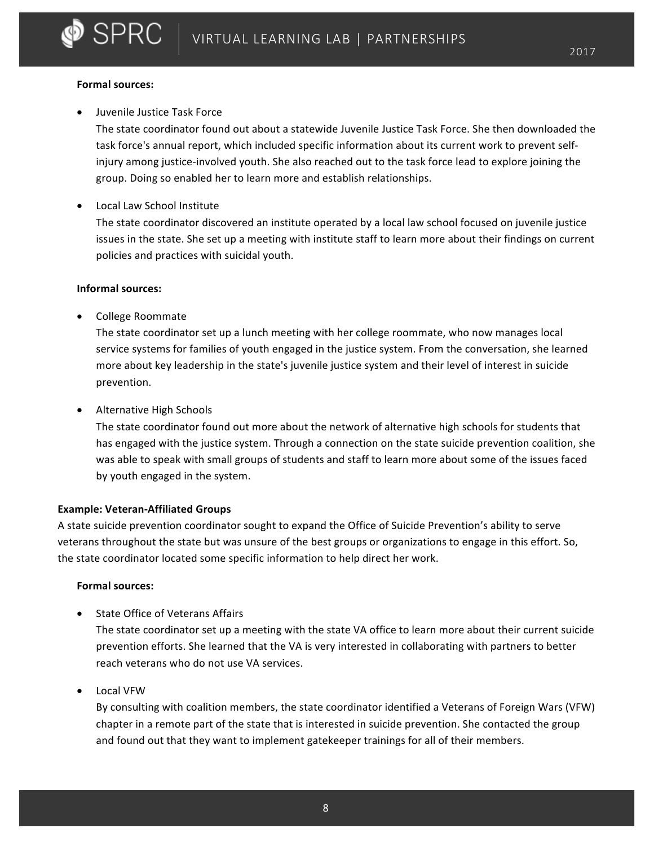#### **Formal sources:**

D SPRC

Juvenile Justice Task Force

The state coordinator found out about a statewide Juvenile Justice Task Force. She then downloaded the task force's annual report, which included specific information about its current work to prevent selfinjury among justice-involved youth. She also reached out to the task force lead to explore joining the group. Doing so enabled her to learn more and establish relationships.

• Local Law School Institute

The state coordinator discovered an institute operated by a local law school focused on juvenile justice issues in the state. She set up a meeting with institute staff to learn more about their findings on current policies and practices with suicidal youth.

### **Informal sources:**

• College Roommate

The state coordinator set up a lunch meeting with her college roommate, who now manages local service systems for families of youth engaged in the justice system. From the conversation, she learned more about key leadership in the state's juvenile justice system and their level of interest in suicide prevention.

• Alternative High Schools

The state coordinator found out more about the network of alternative high schools for students that has engaged with the justice system. Through a connection on the state suicide prevention coalition, she was able to speak with small groups of students and staff to learn more about some of the issues faced by youth engaged in the system.

### **Example: Veteran-Affiliated Groups**

A state suicide prevention coordinator sought to expand the Office of Suicide Prevention's ability to serve veterans throughout the state but was unsure of the best groups or organizations to engage in this effort. So, the state coordinator located some specific information to help direct her work.

#### **Formal sources:**

**State Office of Veterans Affairs** 

The state coordinator set up a meeting with the state VA office to learn more about their current suicide prevention efforts. She learned that the VA is very interested in collaborating with partners to better reach veterans who do not use VA services.

• Local VFW

By consulting with coalition members, the state coordinator identified a Veterans of Foreign Wars (VFW) chapter in a remote part of the state that is interested in suicide prevention. She contacted the group and found out that they want to implement gatekeeper trainings for all of their members.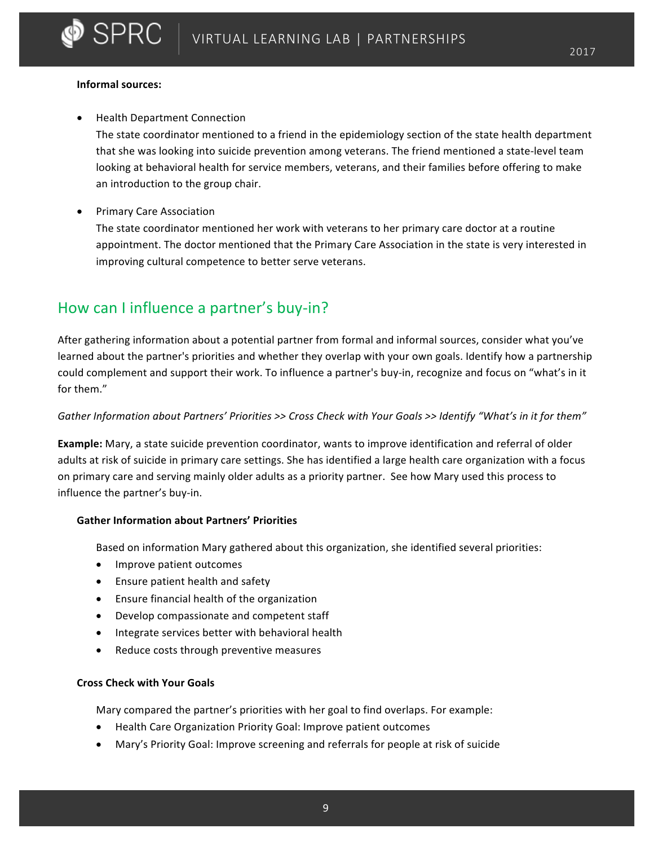#### **Informal sources:**

**SPRC** 

**Health Department Connection** 

The state coordinator mentioned to a friend in the epidemiology section of the state health department that she was looking into suicide prevention among veterans. The friend mentioned a state-level team looking at behavioral health for service members, veterans, and their families before offering to make an introduction to the group chair.

• Primary Care Association

The state coordinator mentioned her work with veterans to her primary care doctor at a routine appointment. The doctor mentioned that the Primary Care Association in the state is very interested in improving cultural competence to better serve veterans.

## How can I influence a partner's buy-in?

After gathering information about a potential partner from formal and informal sources, consider what you've learned about the partner's priorities and whether they overlap with your own goals. Identify how a partnership could complement and support their work. To influence a partner's buy-in, recognize and focus on "what's in it for them."

### Gather Information about Partners' Priorities >> Cross Check with Your Goals >> Identify "What's in it for them"

**Example:** Mary, a state suicide prevention coordinator, wants to improve identification and referral of older adults at risk of suicide in primary care settings. She has identified a large health care organization with a focus on primary care and serving mainly older adults as a priority partner. See how Mary used this process to influence the partner's buy-in.

### **Gather Information about Partners' Priorities**

Based on information Mary gathered about this organization, she identified several priorities:

- Improve patient outcomes
- Ensure patient health and safety
- Ensure financial health of the organization
- Develop compassionate and competent staff
- Integrate services better with behavioral health
- Reduce costs through preventive measures

### **Cross Check with Your Goals**

Mary compared the partner's priorities with her goal to find overlaps. For example:

- Health Care Organization Priority Goal: Improve patient outcomes
- Mary's Priority Goal: Improve screening and referrals for people at risk of suicide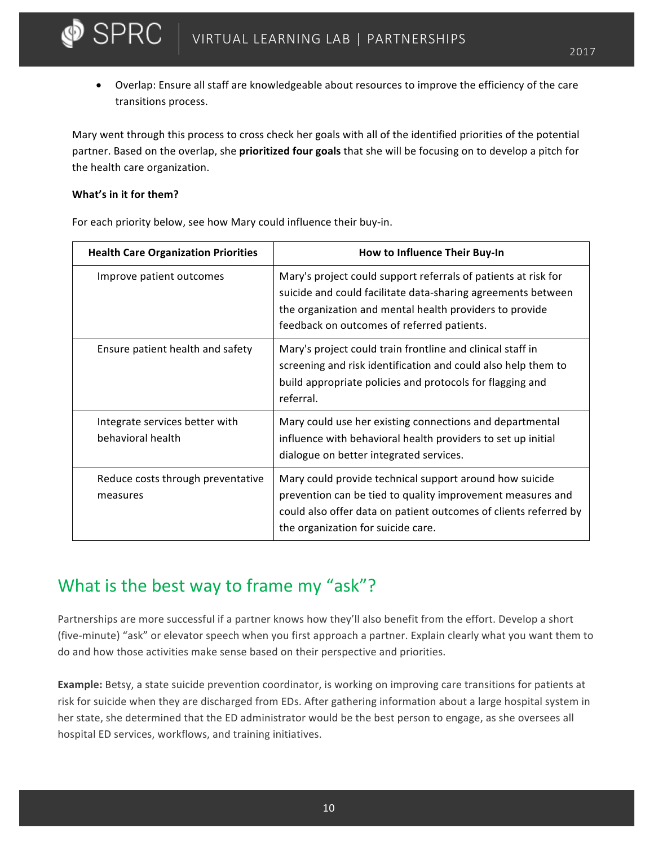• Overlap: Ensure all staff are knowledgeable about resources to improve the efficiency of the care transitions process.

Mary went through this process to cross check her goals with all of the identified priorities of the potential partner. Based on the overlap, she **prioritized four goals** that she will be focusing on to develop a pitch for the health care organization.

### **What's in it for them?**

 $\bullet$  SPRC

For each priority below, see how Mary could influence their buy-in.

| <b>Health Care Organization Priorities</b>          | How to Influence Their Buy-In                                                                                                                                                                                                           |
|-----------------------------------------------------|-----------------------------------------------------------------------------------------------------------------------------------------------------------------------------------------------------------------------------------------|
| Improve patient outcomes                            | Mary's project could support referrals of patients at risk for<br>suicide and could facilitate data-sharing agreements between<br>the organization and mental health providers to provide<br>feedback on outcomes of referred patients. |
| Ensure patient health and safety                    | Mary's project could train frontline and clinical staff in<br>screening and risk identification and could also help them to<br>build appropriate policies and protocols for flagging and<br>referral.                                   |
| Integrate services better with<br>behavioral health | Mary could use her existing connections and departmental<br>influence with behavioral health providers to set up initial<br>dialogue on better integrated services.                                                                     |
| Reduce costs through preventative<br>measures       | Mary could provide technical support around how suicide<br>prevention can be tied to quality improvement measures and<br>could also offer data on patient outcomes of clients referred by<br>the organization for suicide care.         |

# What is the best way to frame my "ask"?

Partnerships are more successful if a partner knows how they'll also benefit from the effort. Develop a short (five-minute) "ask" or elevator speech when you first approach a partner. Explain clearly what you want them to do and how those activities make sense based on their perspective and priorities.

**Example:** Betsy, a state suicide prevention coordinator, is working on improving care transitions for patients at risk for suicide when they are discharged from EDs. After gathering information about a large hospital system in her state, she determined that the ED administrator would be the best person to engage, as she oversees all hospital ED services, workflows, and training initiatives.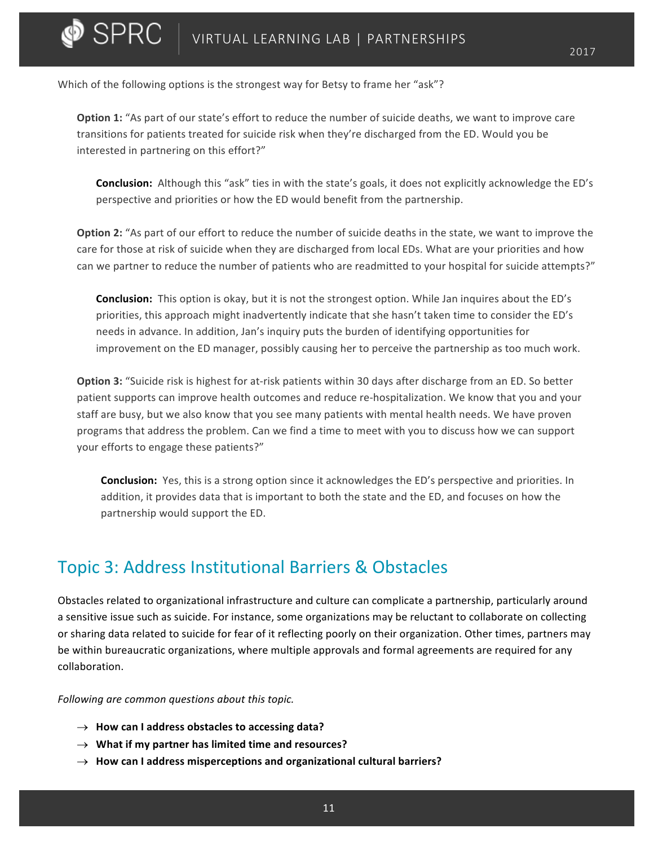Which of the following options is the strongest way for Betsy to frame her "ask"?

 $\bullet$  SPRC  $\perp$ 

**Option 1:** "As part of our state's effort to reduce the number of suicide deaths, we want to improve care transitions for patients treated for suicide risk when they're discharged from the ED. Would you be interested in partnering on this effort?"

**Conclusion:** Although this "ask" ties in with the state's goals, it does not explicitly acknowledge the ED's perspective and priorities or how the ED would benefit from the partnership.

**Option 2:** "As part of our effort to reduce the number of suicide deaths in the state, we want to improve the care for those at risk of suicide when they are discharged from local EDs. What are your priorities and how can we partner to reduce the number of patients who are readmitted to your hospital for suicide attempts?"

**Conclusion:** This option is okay, but it is not the strongest option. While Jan inquires about the ED's priorities, this approach might inadvertently indicate that she hasn't taken time to consider the ED's needs in advance. In addition, Jan's inquiry puts the burden of identifying opportunities for improvement on the ED manager, possibly causing her to perceive the partnership as too much work.

**Option 3:** "Suicide risk is highest for at-risk patients within 30 days after discharge from an ED. So better patient supports can improve health outcomes and reduce re-hospitalization. We know that you and your staff are busy, but we also know that you see many patients with mental health needs. We have proven programs that address the problem. Can we find a time to meet with you to discuss how we can support your efforts to engage these patients?"

**Conclusion:** Yes, this is a strong option since it acknowledges the ED's perspective and priorities. In addition, it provides data that is important to both the state and the ED, and focuses on how the partnership would support the ED.

## Topic 3: Address Institutional Barriers & Obstacles

Obstacles related to organizational infrastructure and culture can complicate a partnership, particularly around a sensitive issue such as suicide. For instance, some organizations may be reluctant to collaborate on collecting or sharing data related to suicide for fear of it reflecting poorly on their organization. Other times, partners may be within bureaucratic organizations, where multiple approvals and formal agreements are required for any collaboration.

Following are common questions about this topic.

- $\rightarrow$  How can I address obstacles to accessing data?
- $\rightarrow$  What if my partner has limited time and resources?
- $\rightarrow$  How can I address misperceptions and organizational cultural barriers?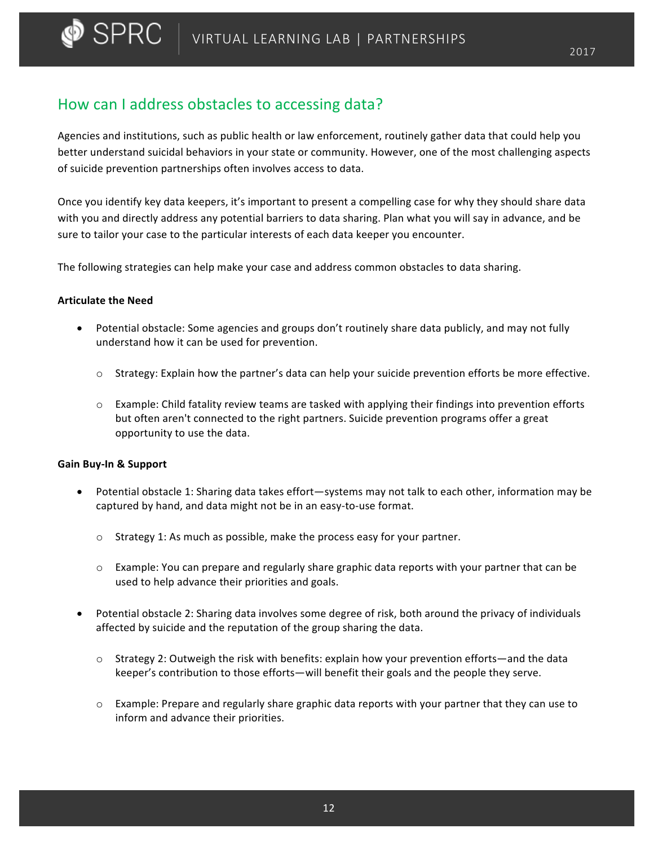## How can I address obstacles to accessing data?

Agencies and institutions, such as public health or law enforcement, routinely gather data that could help you better understand suicidal behaviors in your state or community. However, one of the most challenging aspects of suicide prevention partnerships often involves access to data.

Once you identify key data keepers, it's important to present a compelling case for why they should share data with you and directly address any potential barriers to data sharing. Plan what you will say in advance, and be sure to tailor your case to the particular interests of each data keeper you encounter.

The following strategies can help make your case and address common obstacles to data sharing.

### **Articulate the Need**

- Potential obstacle: Some agencies and groups don't routinely share data publicly, and may not fully understand how it can be used for prevention.
	- $\circ$  Strategy: Explain how the partner's data can help your suicide prevention efforts be more effective.
	- $\circ$  Example: Child fatality review teams are tasked with applying their findings into prevention efforts but often aren't connected to the right partners. Suicide prevention programs offer a great opportunity to use the data.

### **Gain Buy-In & Support**

- Potential obstacle 1: Sharing data takes effort—systems may not talk to each other, information may be captured by hand, and data might not be in an easy-to-use format.
	- $\circ$  Strategy 1: As much as possible, make the process easy for your partner.
	- $\circ$  Example: You can prepare and regularly share graphic data reports with your partner that can be used to help advance their priorities and goals.
- Potential obstacle 2: Sharing data involves some degree of risk, both around the privacy of individuals affected by suicide and the reputation of the group sharing the data.
	- $\circ$  Strategy 2: Outweigh the risk with benefits: explain how your prevention efforts—and the data keeper's contribution to those efforts—will benefit their goals and the people they serve.
	- $\circ$  Example: Prepare and regularly share graphic data reports with your partner that they can use to inform and advance their priorities.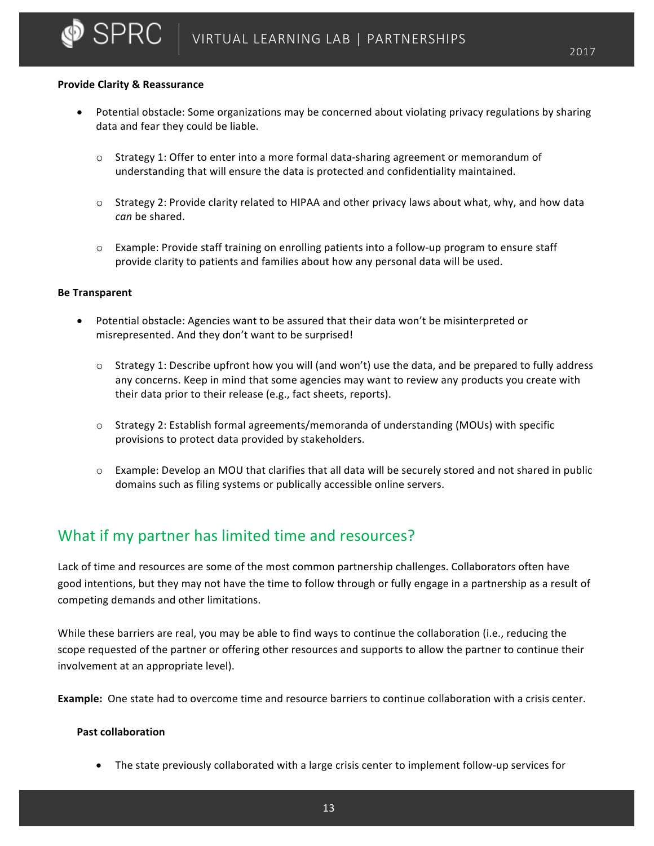#### **Provide Clarity & Reassurance**

 $\blacktriangleright$  SPRC

- Potential obstacle: Some organizations may be concerned about violating privacy regulations by sharing data and fear they could be liable.
	- $\circ$  Strategy 1: Offer to enter into a more formal data-sharing agreement or memorandum of understanding that will ensure the data is protected and confidentiality maintained.
	- $\circ$  Strategy 2: Provide clarity related to HIPAA and other privacy laws about what, why, and how data *can* be shared.
	- $\circ$  Example: Provide staff training on enrolling patients into a follow-up program to ensure staff provide clarity to patients and families about how any personal data will be used.

#### **Be Transparent**

- Potential obstacle: Agencies want to be assured that their data won't be misinterpreted or misrepresented. And they don't want to be surprised!
	- $\circ$  Strategy 1: Describe upfront how you will (and won't) use the data, and be prepared to fully address any concerns. Keep in mind that some agencies may want to review any products you create with their data prior to their release (e.g., fact sheets, reports).
	- $\circ$  Strategy 2: Establish formal agreements/memoranda of understanding (MOUs) with specific provisions to protect data provided by stakeholders.
	- $\circ$  Example: Develop an MOU that clarifies that all data will be securely stored and not shared in public domains such as filing systems or publically accessible online servers.

## What if my partner has limited time and resources?

Lack of time and resources are some of the most common partnership challenges. Collaborators often have good intentions, but they may not have the time to follow through or fully engage in a partnership as a result of competing demands and other limitations.

While these barriers are real, you may be able to find ways to continue the collaboration (i.e., reducing the scope requested of the partner or offering other resources and supports to allow the partner to continue their involvement at an appropriate level).

**Example:** One state had to overcome time and resource barriers to continue collaboration with a crisis center.

#### **Past collaboration**

The state previously collaborated with a large crisis center to implement follow-up services for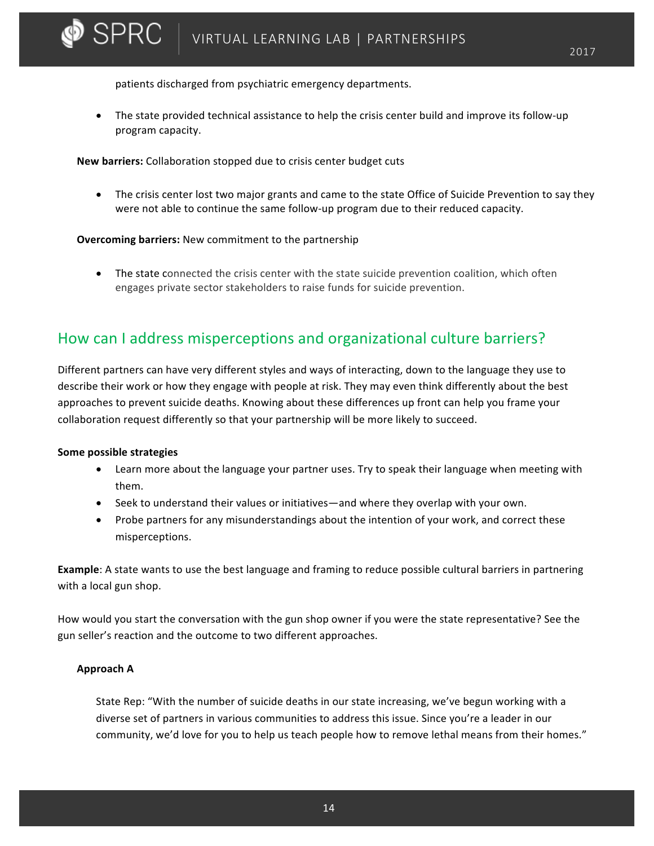patients discharged from psychiatric emergency departments.

The state provided technical assistance to help the crisis center build and improve its follow-up program capacity.

**New barriers:** Collaboration stopped due to crisis center budget cuts

• The crisis center lost two major grants and came to the state Office of Suicide Prevention to say they were not able to continue the same follow-up program due to their reduced capacity.

### **Overcoming barriers:** New commitment to the partnership

• The state connected the crisis center with the state suicide prevention coalition, which often engages private sector stakeholders to raise funds for suicide prevention.

## How can I address misperceptions and organizational culture barriers?

Different partners can have very different styles and ways of interacting, down to the language they use to describe their work or how they engage with people at risk. They may even think differently about the best approaches to prevent suicide deaths. Knowing about these differences up front can help you frame your collaboration request differently so that your partnership will be more likely to succeed.

### **Some possible strategies**

 $\bullet$  SPRC  $\perp$ 

- Learn more about the language your partner uses. Try to speak their language when meeting with them.
- Seek to understand their values or initiatives—and where they overlap with your own.
- Probe partners for any misunderstandings about the intention of your work, and correct these misperceptions.

**Example**: A state wants to use the best language and framing to reduce possible cultural barriers in partnering with a local gun shop.

How would you start the conversation with the gun shop owner if you were the state representative? See the gun seller's reaction and the outcome to two different approaches.

### **Approach A**

State Rep: "With the number of suicide deaths in our state increasing, we've begun working with a diverse set of partners in various communities to address this issue. Since you're a leader in our community, we'd love for you to help us teach people how to remove lethal means from their homes."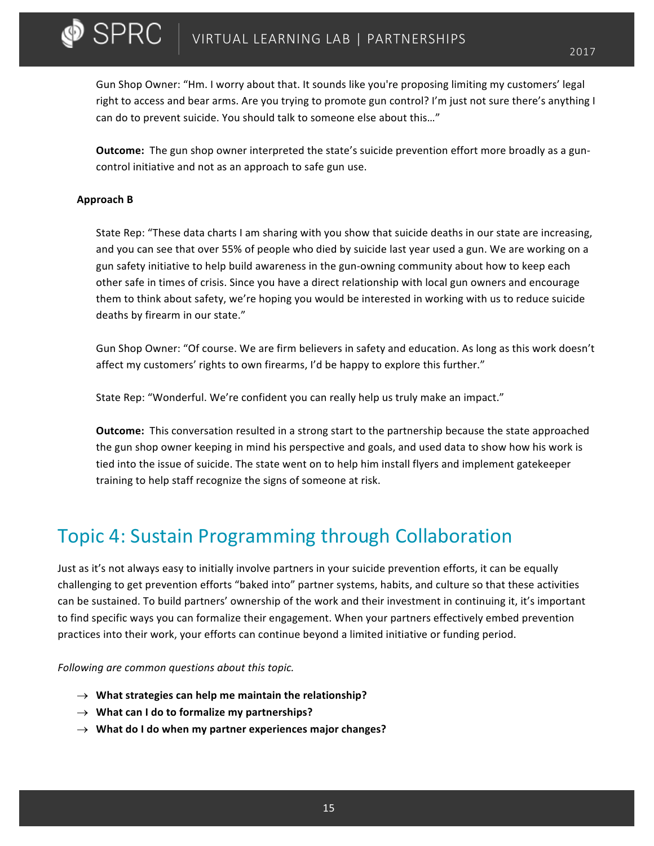Gun Shop Owner: "Hm. I worry about that. It sounds like you're proposing limiting my customers' legal right to access and bear arms. Are you trying to promote gun control? I'm just not sure there's anything I can do to prevent suicide. You should talk to someone else about this..."

**Outcome:** The gun shop owner interpreted the state's suicide prevention effort more broadly as a guncontrol initiative and not as an approach to safe gun use.

#### **Approach B**

 $\blacktriangleright$  SPRC  $\perp$ 

State Rep: "These data charts I am sharing with you show that suicide deaths in our state are increasing, and you can see that over 55% of people who died by suicide last year used a gun. We are working on a gun safety initiative to help build awareness in the gun-owning community about how to keep each other safe in times of crisis. Since you have a direct relationship with local gun owners and encourage them to think about safety, we're hoping you would be interested in working with us to reduce suicide deaths by firearm in our state."

Gun Shop Owner: "Of course. We are firm believers in safety and education. As long as this work doesn't affect my customers' rights to own firearms, I'd be happy to explore this further."

State Rep: "Wonderful. We're confident you can really help us truly make an impact."

**Outcome:** This conversation resulted in a strong start to the partnership because the state approached the gun shop owner keeping in mind his perspective and goals, and used data to show how his work is tied into the issue of suicide. The state went on to help him install flyers and implement gatekeeper training to help staff recognize the signs of someone at risk.

# Topic 4: Sustain Programming through Collaboration

Just as it's not always easy to initially involve partners in your suicide prevention efforts, it can be equally challenging to get prevention efforts "baked into" partner systems, habits, and culture so that these activities can be sustained. To build partners' ownership of the work and their investment in continuing it, it's important to find specific ways you can formalize their engagement. When your partners effectively embed prevention practices into their work, your efforts can continue beyond a limited initiative or funding period.

Following are common questions about this topic.

- $\rightarrow$  What strategies can help me maintain the relationship?
- $\rightarrow$  What can I do to formalize my partnerships?
- $\rightarrow$  What do I do when my partner experiences major changes?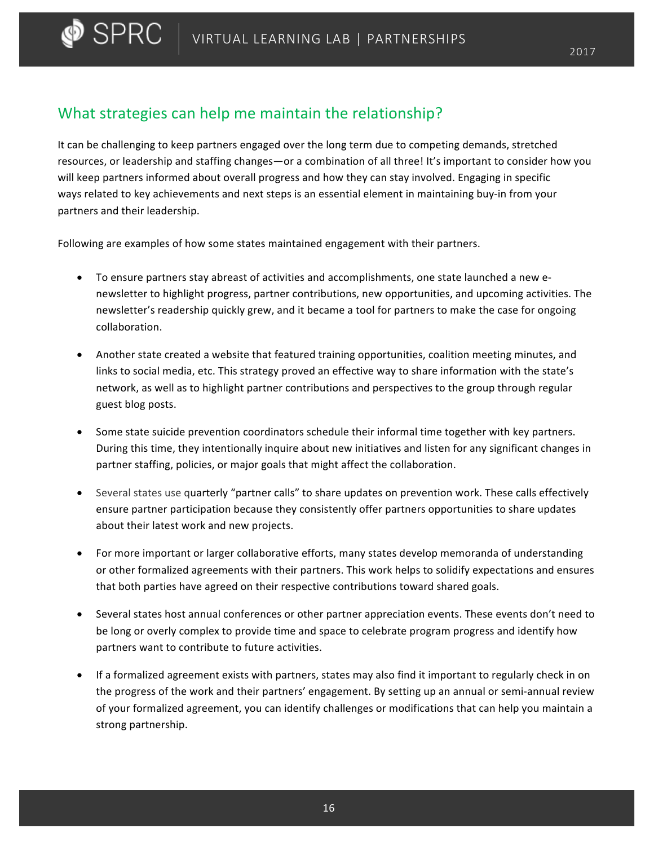## What strategies can help me maintain the relationship?

 $\bullet$  SPRC  $\perp$ 

It can be challenging to keep partners engaged over the long term due to competing demands, stretched resources, or leadership and staffing changes—or a combination of all three! It's important to consider how you will keep partners informed about overall progress and how they can stay involved. Engaging in specific ways related to key achievements and next steps is an essential element in maintaining buy-in from your partners and their leadership.

Following are examples of how some states maintained engagement with their partners.

- To ensure partners stay abreast of activities and accomplishments, one state launched a new enewsletter to highlight progress, partner contributions, new opportunities, and upcoming activities. The newsletter's readership quickly grew, and it became a tool for partners to make the case for ongoing collaboration.
- Another state created a website that featured training opportunities, coalition meeting minutes, and links to social media, etc. This strategy proved an effective way to share information with the state's network, as well as to highlight partner contributions and perspectives to the group through regular guest blog posts.
- Some state suicide prevention coordinators schedule their informal time together with key partners. During this time, they intentionally inquire about new initiatives and listen for any significant changes in partner staffing, policies, or major goals that might affect the collaboration.
- Several states use quarterly "partner calls" to share updates on prevention work. These calls effectively ensure partner participation because they consistently offer partners opportunities to share updates about their latest work and new projects.
- For more important or larger collaborative efforts, many states develop memoranda of understanding or other formalized agreements with their partners. This work helps to solidify expectations and ensures that both parties have agreed on their respective contributions toward shared goals.
- Several states host annual conferences or other partner appreciation events. These events don't need to be long or overly complex to provide time and space to celebrate program progress and identify how partners want to contribute to future activities.
- If a formalized agreement exists with partners, states may also find it important to regularly check in on the progress of the work and their partners' engagement. By setting up an annual or semi-annual review of your formalized agreement, you can identify challenges or modifications that can help you maintain a strong partnership.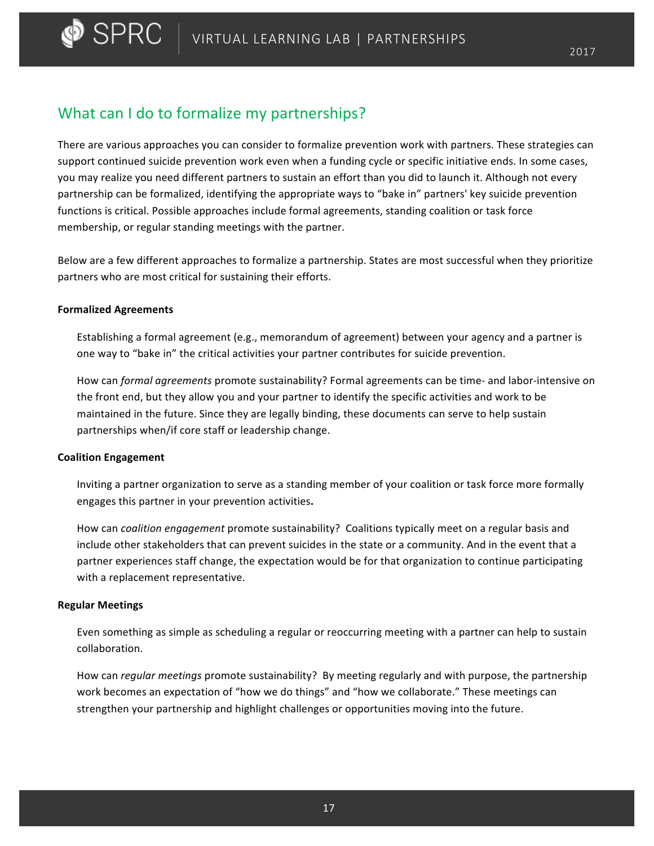## What can I do to formalize my partnerships?

There are various approaches you can consider to formalize prevention work with partners. These strategies can support continued suicide prevention work even when a funding cycle or specific initiative ends. In some cases, you may realize you need different partners to sustain an effort than you did to launch it. Although not every partnership can be formalized, identifying the appropriate ways to "bake in" partners' key suicide prevention functions is critical. Possible approaches include formal agreements, standing coalition or task force membership, or regular standing meetings with the partner.

Below are a few different approaches to formalize a partnership. States are most successful when they prioritize partners who are most critical for sustaining their efforts.

### **Formalized Agreements**

Establishing a formal agreement (e.g., memorandum of agreement) between your agency and a partner is one way to "bake in" the critical activities your partner contributes for suicide prevention.

How can *formal agreements* promote sustainability? Formal agreements can be time- and labor-intensive on the front end, but they allow you and your partner to identify the specific activities and work to be maintained in the future. Since they are legally binding, these documents can serve to help sustain partnerships when/if core staff or leadership change.

### **Coalition Engagement**

Inviting a partner organization to serve as a standing member of your coalition or task force more formally engages this partner in your prevention activities**.**

How can *coalition engagement* promote sustainability? Coalitions typically meet on a regular basis and include other stakeholders that can prevent suicides in the state or a community. And in the event that a partner experiences staff change, the expectation would be for that organization to continue participating with a replacement representative.

### **Regular Meetings**

Even something as simple as scheduling a regular or reoccurring meeting with a partner can help to sustain collaboration.

How can *regular meetings* promote sustainability? By meeting regularly and with purpose, the partnership work becomes an expectation of "how we do things" and "how we collaborate." These meetings can strengthen your partnership and highlight challenges or opportunities moving into the future.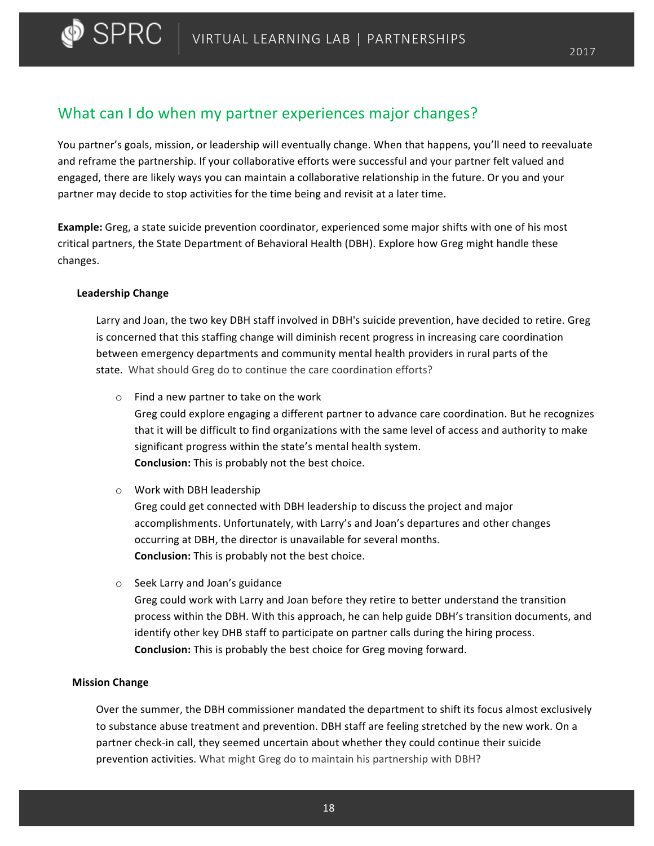## What can I do when my partner experiences major changes?

You partner's goals, mission, or leadership will eventually change. When that happens, you'll need to reevaluate and reframe the partnership. If your collaborative efforts were successful and your partner felt valued and engaged, there are likely ways you can maintain a collaborative relationship in the future. Or you and your partner may decide to stop activities for the time being and revisit at a later time.

**Example:** Greg, a state suicide prevention coordinator, experienced some major shifts with one of his most critical partners, the State Department of Behavioral Health (DBH). Explore how Greg might handle these changes. 

### **Leadership Change**

Larry and Joan, the two key DBH staff involved in DBH's suicide prevention, have decided to retire. Greg is concerned that this staffing change will diminish recent progress in increasing care coordination between emergency departments and community mental health providers in rural parts of the state. What should Greg do to continue the care coordination efforts?

 $\circ$  Find a new partner to take on the work

Greg could explore engaging a different partner to advance care coordination. But he recognizes that it will be difficult to find organizations with the same level of access and authority to make significant progress within the state's mental health system. **Conclusion:** This is probably not the best choice.

 $\circ$  Work with DBH leadership

Greg could get connected with DBH leadership to discuss the project and major accomplishments. Unfortunately, with Larry's and Joan's departures and other changes occurring at DBH, the director is unavailable for several months. **Conclusion:** This is probably not the best choice.

 $\circ$  Seek Larry and Joan's guidance

Greg could work with Larry and Joan before they retire to better understand the transition process within the DBH. With this approach, he can help guide DBH's transition documents, and identify other key DHB staff to participate on partner calls during the hiring process. **Conclusion:** This is probably the best choice for Greg moving forward.

### **Mission Change**

Over the summer, the DBH commissioner mandated the department to shift its focus almost exclusively to substance abuse treatment and prevention. DBH staff are feeling stretched by the new work. On a partner check-in call, they seemed uncertain about whether they could continue their suicide prevention activities. What might Greg do to maintain his partnership with DBH?